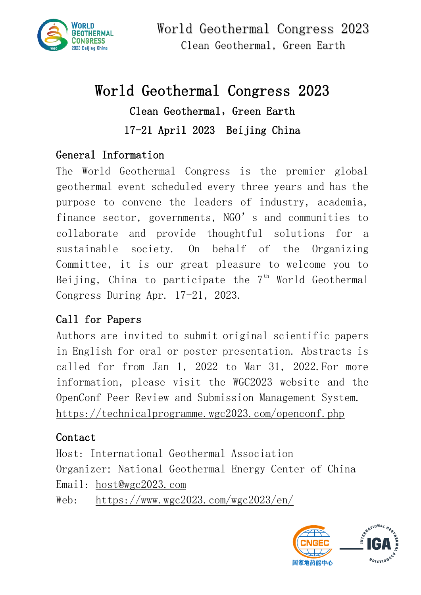

# World Geothermal Congress 2023 Clean Geothermal, Green Earth 17-21 April 2023 Beijing China

## General Information

The World Geothermal Congress is the premier global geothermal event scheduled every three years and has the purpose to convene the leaders of industry, academia, finance sector, governments, NGO's and communities to collaborate and provide thoughtful solutions for a sustainable society. On behalf of the Organizing Committee, it is our great pleasure to welcome you to Beijing, China to participate the  $7<sup>th</sup>$  World Geothermal Congress During Apr. 17-21, 2023.

## Call for Papers

Authors are invited to submit original scientific papers in English for oral or poster presentation. Abstracts is called for from Jan 1, 2022 to Mar 31, 2022.For more information, please visit the WGC2023 website and the OpenConf Peer Review and Submission Management System. <https://technicalprogramme.wgc2023.com/openconf.php>

## Contact

Host: International Geothermal Association Organizer: National Geothermal Energy Center of China Email: [host@wgc2023.com](mailto:host@wgc2023.com)

Web: <https://www.wgc2023.com/wgc2023/en/>

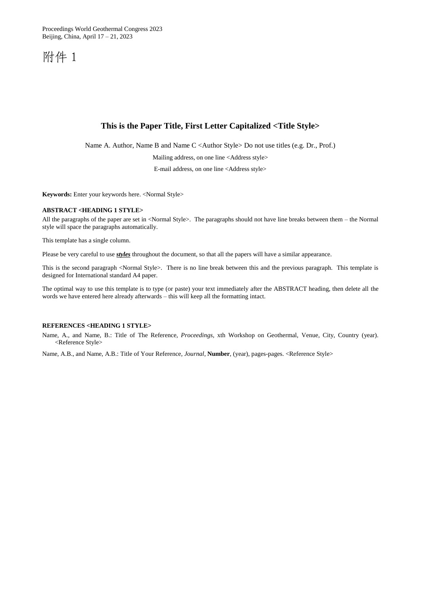Proceedings World Geothermal Congress 2023 Beijing, China, April 17 – 21, 2023

附件 1

### **This is the Paper Title, First Letter Capitalized <Title Style>**

Name A. Author, Name B and Name C <Author Style> Do not use titles (e.g. Dr., Prof.)

Mailing address, on one line <Address style>

E-mail address, on one line <Address style>

**Keywords:** Enter your keywords here. <Normal Style>

### **ABSTRACT <HEADING 1 STYLE>**

All the paragraphs of the paper are set in <Normal Style>. The paragraphs should not have line breaks between them – the Normal style will space the paragraphs automatically.

This template has a single column.

Please be very careful to use *styles* throughout the document, so that all the papers will have a similar appearance.

This is the second paragraph <Normal Style>. There is no line break between this and the previous paragraph. This template is designed for International standard A4 paper.

The optimal way to use this template is to type (or paste) your text immediately after the ABSTRACT heading, then delete all the words we have entered here already afterwards – this will keep all the formatting intact.

#### **REFERENCES <HEADING 1 STYLE>**

Name, A., and Name, B.: Title of The Reference, *Proceedings,* xth Workshop on Geothermal, Venue, City, Country (year). <Reference Style>

Name, A.B., and Name, A.B.: Title of Your Reference, *Journal*, **Number**, (year), pages-pages. <Reference Style>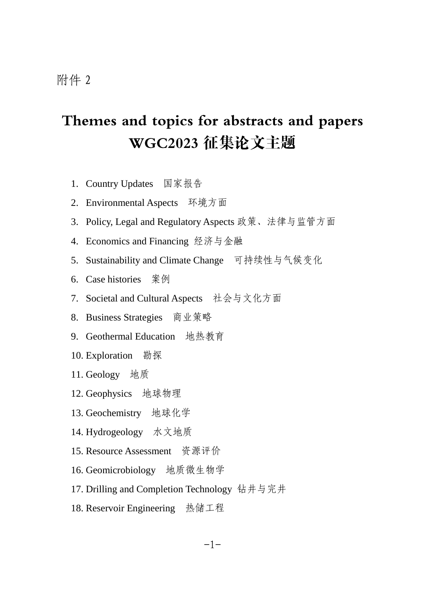# Themes and topics for abstracts and papers WGC2023 征集论文主题

- 1. Country Updates 国家报告
- 2. Environmental Aspects 环境方面
- 3. Policy, Legal and Regulatory Aspects 政策、法律与监管方面
- 4. Economics and Financing 经济与金融
- 5. Sustainability and Climate Change 可持续性与气候变化
- 6. Case histories 案例
- 7. Societal and Cultural Aspects 社会与文化方面
- 8. Business Strategies 商业策略
- 9. Geothermal Education 地热教育
- 10. Exploration 勘探
- 11. Geology 地质
- 12. Geophysics 地球物理
- 13. Geochemistry 地球化学
- 14. Hydrogeology 水文地质
- 15. Resource Assessment 资源评价
- 16. Geomicrobiology 地质微生物学
- 17. Drilling and Completion Technology 钻井与完井
- 18. Reservoir Engineering 热储工程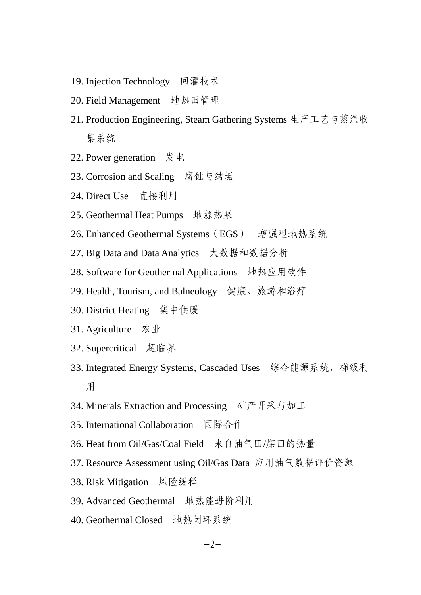- 19. Injection Technology 回灌技术
- 20. Field Management 地热田管理
- 21. Production Engineering, Steam Gathering Systems 生产工艺与蒸汽收 集系统
- 22. Power generation 发电
- 23. Corrosion and Scaling 腐蚀与结垢
- 24. Direct Use 直接利用
- 25. Geothermal Heat Pumps 地源热泵
- 26. Enhanced Geothermal Systems (EGS) 增强型地热系统
- 27. Big Data and Data Analytics 大数据和数据分析
- 28. Software for Geothermal Applications 地热应用软件
- 29. Health, Tourism, and Balneology 健康、旅游和浴疗
- 30. District Heating 集中供暖
- 31. Agriculture 农业
- 32. Supercritical 超临界
- 33. Integrated Energy Systems, Cascaded Uses 综合能源系统,梯级利 用
- 34. Minerals Extraction and Processing 矿产开采与加工
- 35. International Collaboration 国际合作
- 36. Heat from Oil/Gas/Coal Field 来自油气田/煤田的热量
- 37. Resource Assessment using Oil/Gas Data 应用油气数据评价资源
- 38. Risk Mitigation 风险缓释
- 39. Advanced Geothermal 地热能进阶利用
- 40. Geothermal Closed 地热闭环系统